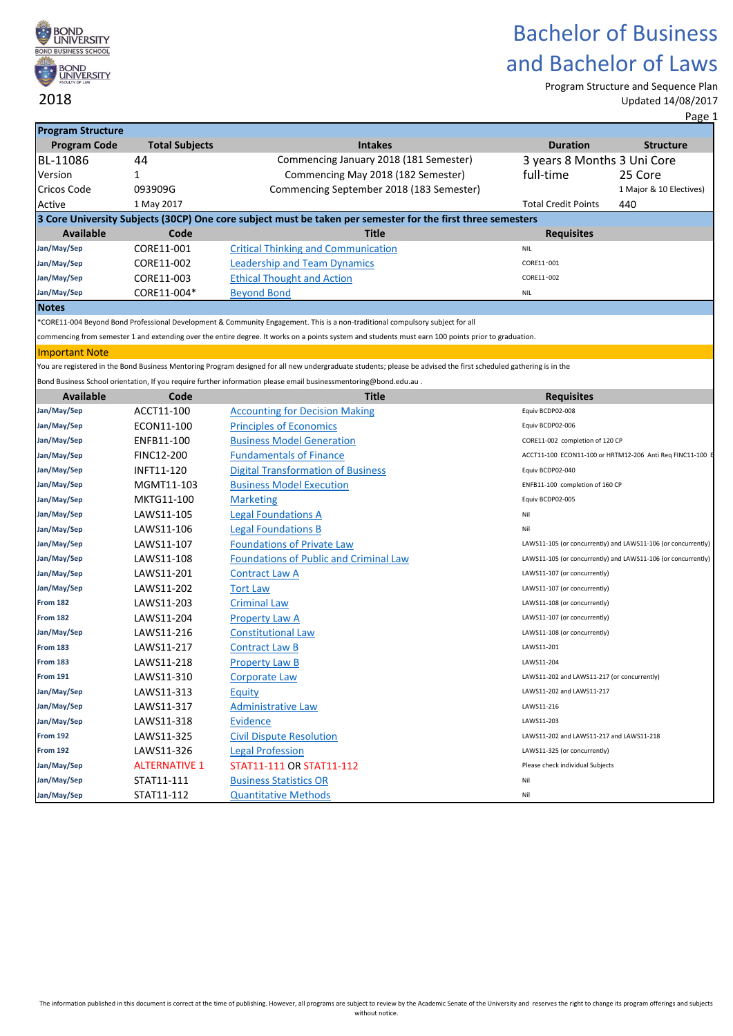

Program Structure and Sequence Plan Updated 14/08/2017

| <b>Program Structure</b> |                       |                                                                                                                                                                  |                                             |                                                               |
|--------------------------|-----------------------|------------------------------------------------------------------------------------------------------------------------------------------------------------------|---------------------------------------------|---------------------------------------------------------------|
| <b>Program Code</b>      | <b>Total Subjects</b> | <b>Intakes</b>                                                                                                                                                   | <b>Duration</b>                             | <b>Structure</b>                                              |
| BL-11086                 | 44                    | Commencing January 2018 (181 Semester)                                                                                                                           | 3 years 8 Months 3 Uni Core                 |                                                               |
| Version                  | 1                     | Commencing May 2018 (182 Semester)                                                                                                                               | full-time                                   | 25 Core                                                       |
| <b>Cricos Code</b>       | 093909G               | Commencing September 2018 (183 Semester)                                                                                                                         |                                             | 1 Major & 10 Electives)                                       |
| Active                   | 1 May 2017            |                                                                                                                                                                  | <b>Total Credit Points</b>                  | 440                                                           |
|                          |                       | 3 Core University Subjects (30CP) One core subject must be taken per semester for the first three semesters                                                      |                                             |                                                               |
| <b>Available</b>         | Code                  | <b>Title</b>                                                                                                                                                     | <b>Requisites</b>                           |                                                               |
| Jan/May/Sep              | CORE11-001            | <b>Critical Thinking and Communication</b>                                                                                                                       | <b>NIL</b>                                  |                                                               |
| Jan/May/Sep              | CORE11-002            | <b>Leadership and Team Dynamics</b>                                                                                                                              | CORE11-001                                  |                                                               |
| Jan/May/Sep              | CORE11-003            | <b>Ethical Thought and Action</b>                                                                                                                                | CORE11-002                                  |                                                               |
| Jan/May/Sep              | CORE11-004*           | <b>Beyond Bond</b>                                                                                                                                               | <b>NIL</b>                                  |                                                               |
| <b>Notes</b>             |                       |                                                                                                                                                                  |                                             |                                                               |
|                          |                       | *CORE11-004 Beyond Bond Professional Development & Community Engagement. This is a non-traditional compulsory subject for all                                    |                                             |                                                               |
|                          |                       | commencing from semester 1 and extending over the entire degree. It works on a points system and students must earn 100 points prior to graduation.              |                                             |                                                               |
| <b>Important Note</b>    |                       |                                                                                                                                                                  |                                             |                                                               |
|                          |                       | You are registered in the Bond Business Mentoring Program designed for all new undergraduate students; please be advised the first scheduled gathering is in the |                                             |                                                               |
|                          |                       | Bond Business School orientation, If you require further information please email businessmentoring@bond.edu.au.                                                 |                                             |                                                               |
| <b>Available</b>         | Code                  | <b>Title</b>                                                                                                                                                     | <b>Requisites</b>                           |                                                               |
| Jan/May/Sep              | ACCT11-100            | <b>Accounting for Decision Making</b>                                                                                                                            | Equiv BCDP02-008                            |                                                               |
| Jan/May/Sep              | ECON11-100            | <b>Principles of Economics</b>                                                                                                                                   | Equiv BCDP02-006                            |                                                               |
| Jan/May/Sep              | ENFB11-100            | <b>Business Model Generation</b>                                                                                                                                 | CORE11-002 completion of 120 CP             |                                                               |
| Jan/May/Sep              | <b>FINC12-200</b>     | <b>Fundamentals of Finance</b>                                                                                                                                   |                                             | ACCT11-100 ECON11-100 or HRTM12-206 Anti Req FINC11-100 E     |
| Jan/May/Sep              | INFT11-120            | <b>Digital Transformation of Business</b>                                                                                                                        | Equiv BCDP02-040                            |                                                               |
| Jan/May/Sep              | MGMT11-103            | <b>Business Model Execution</b>                                                                                                                                  | ENFB11-100 completion of 160 CP             |                                                               |
| Jan/May/Sep              | MKTG11-100            | <b>Marketing</b>                                                                                                                                                 | Equiv BCDP02-005                            |                                                               |
| Jan/May/Sep              | LAWS11-105            | <b>Legal Foundations A</b>                                                                                                                                       | Nil                                         |                                                               |
| Jan/May/Sep              | LAWS11-106            | <b>Legal Foundations B</b>                                                                                                                                       | Nil                                         |                                                               |
| Jan/May/Sep              | LAWS11-107            | <b>Foundations of Private Law</b>                                                                                                                                |                                             | LAWS11-105 (or concurrently) and LAWS11-106 (or concurrently) |
| Jan/May/Sep              | LAWS11-108            | <b>Foundations of Public and Criminal Law</b>                                                                                                                    |                                             | LAWS11-105 (or concurrently) and LAWS11-106 (or concurrently) |
| Jan/May/Sep              | LAWS11-201            | <b>Contract Law A</b>                                                                                                                                            | LAWS11-107 (or concurrently)                |                                                               |
| Jan/May/Sep              | LAWS11-202            | <b>Tort Law</b>                                                                                                                                                  | LAWS11-107 (or concurrently)                |                                                               |
| <b>From 182</b>          | LAWS11-203            | <b>Criminal Law</b>                                                                                                                                              | LAWS11-108 (or concurrently)                |                                                               |
| <b>From 182</b>          | LAWS11-204            | <b>Property Law A</b>                                                                                                                                            | LAWS11-107 (or concurrently)                |                                                               |
| Jan/May/Sep              | LAWS11-216            | <b>Constitutional Law</b>                                                                                                                                        | LAWS11-108 (or concurrently)                |                                                               |
| <b>From 183</b>          | LAWS11-217            | <b>Contract Law B</b>                                                                                                                                            | LAWS11-201                                  |                                                               |
| <b>From 183</b>          | LAWS11-218            | <b>Property Law B</b>                                                                                                                                            | LAWS11-204                                  |                                                               |
| <b>From 191</b>          | LAWS11-310            | <b>Corporate Law</b>                                                                                                                                             | LAWS11-202 and LAWS11-217 (or concurrently) |                                                               |
| Jan/May/Sep              | LAWS11-313            | Equity                                                                                                                                                           | LAWS11-202 and LAWS11-217                   |                                                               |
| Jan/May/Sep              | LAWS11-317            | <b>Administrative Law</b>                                                                                                                                        | LAWS11-216                                  |                                                               |
| Jan/May/Sep              | LAWS11-318            | <b>Evidence</b>                                                                                                                                                  | LAWS11-203                                  |                                                               |
| <b>From 192</b>          | LAWS11-325            | <b>Civil Dispute Resolution</b>                                                                                                                                  | LAWS11-202 and LAWS11-217 and LAWS11-218    |                                                               |
| <b>From 192</b>          | LAWS11-326            | <b>Legal Profession</b>                                                                                                                                          | LAWS11-325 (or concurrently)                |                                                               |
| Jan/May/Sep              | <b>ALTERNATIVE 1</b>  | STAT11-111 OR STAT11-112                                                                                                                                         | Please check individual Subjects            |                                                               |
|                          |                       |                                                                                                                                                                  |                                             |                                                               |
| Jan/May/Sep              | STAT11-111            | <b>Business Statistics OR</b>                                                                                                                                    | Nil                                         |                                                               |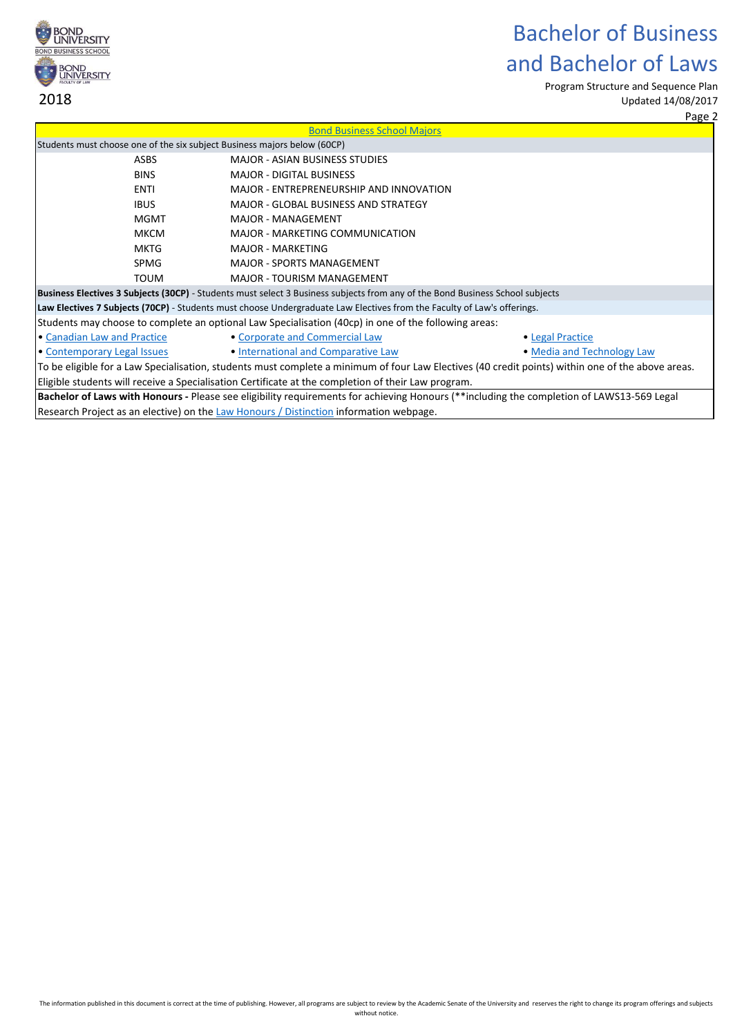

Program Structure and Sequence Plan Updated 14/08/2017

Page 2

|                                                                                                                   |                                                                                                                                                  | Page 2                                                                                                                                            |  |  |  |
|-------------------------------------------------------------------------------------------------------------------|--------------------------------------------------------------------------------------------------------------------------------------------------|---------------------------------------------------------------------------------------------------------------------------------------------------|--|--|--|
|                                                                                                                   | <b>Bond Business School Majors</b>                                                                                                               |                                                                                                                                                   |  |  |  |
| Students must choose one of the six subject Business majors below (60CP)                                          |                                                                                                                                                  |                                                                                                                                                   |  |  |  |
| <b>ASBS</b>                                                                                                       | <b>MAJOR - ASIAN BUSINESS STUDIES</b>                                                                                                            |                                                                                                                                                   |  |  |  |
| <b>BINS</b>                                                                                                       | <b>MAJOR - DIGITAL BUSINESS</b>                                                                                                                  |                                                                                                                                                   |  |  |  |
| <b>ENTI</b>                                                                                                       | MAJOR - ENTREPRENEURSHIP AND INNOVATION                                                                                                          |                                                                                                                                                   |  |  |  |
| <b>IBUS</b>                                                                                                       | <b>MAJOR - GLOBAL BUSINESS AND STRATEGY</b>                                                                                                      |                                                                                                                                                   |  |  |  |
| <b>MGMT</b>                                                                                                       | <b>MAJOR - MANAGEMENT</b>                                                                                                                        |                                                                                                                                                   |  |  |  |
| <b>MKCM</b>                                                                                                       | MAJOR - MARKETING COMMUNICATION                                                                                                                  |                                                                                                                                                   |  |  |  |
| <b>MKTG</b>                                                                                                       | <b>MAJOR - MARKETING</b>                                                                                                                         |                                                                                                                                                   |  |  |  |
| <b>SPMG</b>                                                                                                       | <b>MAJOR - SPORTS MANAGEMENT</b>                                                                                                                 |                                                                                                                                                   |  |  |  |
| <b>TOUM</b>                                                                                                       | <b>MAJOR - TOURISM MANAGEMENT</b>                                                                                                                |                                                                                                                                                   |  |  |  |
|                                                                                                                   | Business Electives 3 Subjects (30CP) - Students must select 3 Business subjects from any of the Bond Business School subjects                    |                                                                                                                                                   |  |  |  |
|                                                                                                                   | Law Electives 7 Subjects (70CP) - Students must choose Undergraduate Law Electives from the Faculty of Law's offerings.                          |                                                                                                                                                   |  |  |  |
|                                                                                                                   | Students may choose to complete an optional Law Specialisation (40cp) in one of the following areas:                                             |                                                                                                                                                   |  |  |  |
| • Canadian Law and Practice                                                                                       | • Corporate and Commercial Law                                                                                                                   | • Legal Practice                                                                                                                                  |  |  |  |
| • Contemporary Legal Issues                                                                                       | . International and Comparative Law                                                                                                              | • Media and Technology Law                                                                                                                        |  |  |  |
|                                                                                                                   |                                                                                                                                                  | To be eligible for a Law Specialisation, students must complete a minimum of four Law Electives (40 credit points) within one of the above areas. |  |  |  |
|                                                                                                                   | Eligible students will receive a Specialisation Certificate at the completion of their Law program.                                              |                                                                                                                                                   |  |  |  |
|                                                                                                                   | <b>Bachelor of Laws with Honours</b> - Please see eligibility requirements for achieving Honours (**including the completion of LAWS13-569 Legal |                                                                                                                                                   |  |  |  |
| $\overline{R}$ Research Project as an elective) on the Law Honours $\overline{R}$ Distinction information webpage |                                                                                                                                                  |                                                                                                                                                   |  |  |  |

[Research Project as an elective\) on the Law Honours / Distinction](https://bond.edu.au/law-honours-distinction-information) information webpage.

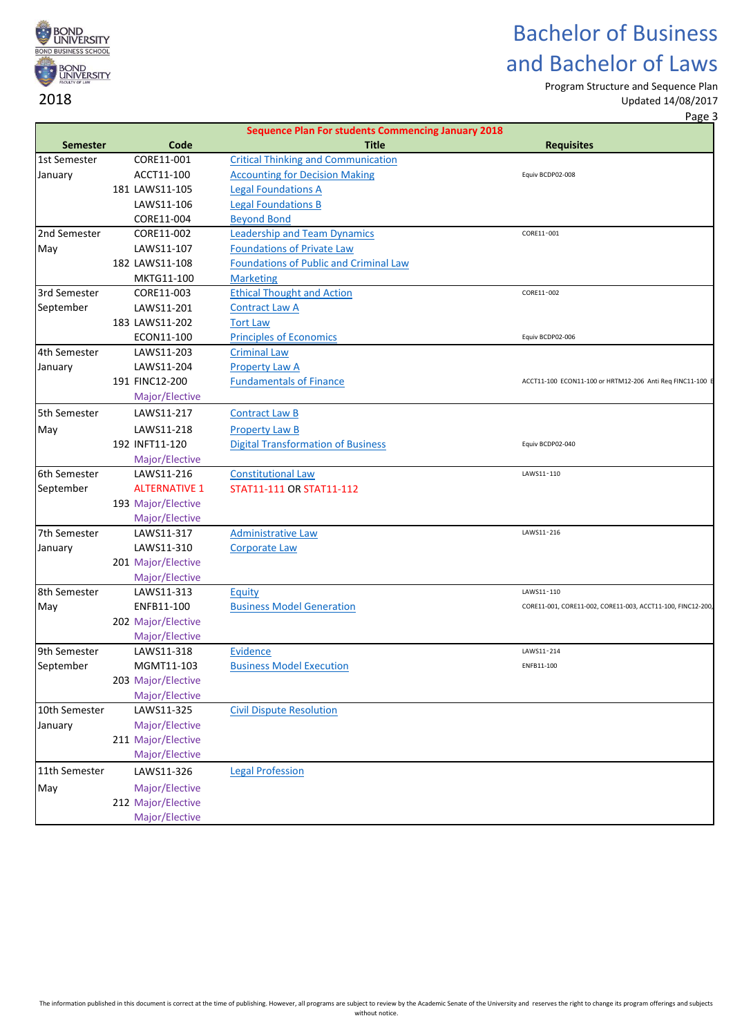

Program Structure and Sequence Plan

Updated 14/08/2017 Page 3

|                 |                              | <b>Sequence Plan For students Commencing January 2018</b> |                                                             |
|-----------------|------------------------------|-----------------------------------------------------------|-------------------------------------------------------------|
| <b>Semester</b> | Code                         | <b>Title</b>                                              | <b>Requisites</b>                                           |
| 1st Semester    | CORE11-001                   | <b>Critical Thinking and Communication</b>                |                                                             |
| January         | ACCT11-100                   | <b>Accounting for Decision Making</b>                     | Equiv BCDP02-008                                            |
|                 | 181 LAWS11-105               | <b>Legal Foundations A</b>                                |                                                             |
|                 | LAWS11-106                   | <b>Legal Foundations B</b>                                |                                                             |
|                 | CORE11-004                   | <b>Beyond Bond</b>                                        |                                                             |
| 2nd Semester    | CORE11-002                   | <b>Leadership and Team Dynamics</b>                       | CORE11-001                                                  |
| May             | LAWS11-107                   | <b>Foundations of Private Law</b>                         |                                                             |
|                 | 182 LAWS11-108               | <b>Foundations of Public and Criminal Law</b>             |                                                             |
|                 | MKTG11-100                   | <b>Marketing</b>                                          |                                                             |
| 3rd Semester    | CORE11-003                   | <b>Ethical Thought and Action</b>                         | CORE11-002                                                  |
| September       | LAWS11-201                   | <b>Contract Law A</b>                                     |                                                             |
|                 | 183 LAWS11-202               | <b>Tort Law</b>                                           |                                                             |
|                 | ECON11-100                   | <b>Principles of Economics</b>                            | Equiv BCDP02-006                                            |
| 4th Semester    | LAWS11-203                   | <b>Criminal Law</b>                                       |                                                             |
| January         | LAWS11-204<br>191 FINC12-200 | <b>Property Law A</b>                                     |                                                             |
|                 | Major/Elective               | <b>Fundamentals of Finance</b>                            | ACCT11-100 ECON11-100 or HRTM12-206 Anti Req FINC11-100 E   |
|                 |                              |                                                           |                                                             |
| 5th Semester    | LAWS11-217                   | <b>Contract Law B</b>                                     |                                                             |
| May             | LAWS11-218                   | <b>Property Law B</b>                                     |                                                             |
|                 | 192 INFT11-120               | <b>Digital Transformation of Business</b>                 | Equiv BCDP02-040                                            |
| 6th Semester    | Major/Elective<br>LAWS11-216 | <b>Constitutional Law</b>                                 | LAWS11-110                                                  |
| September       | <b>ALTERNATIVE 1</b>         | STAT11-111 OR STAT11-112                                  |                                                             |
|                 | 193 Major/Elective           |                                                           |                                                             |
|                 | Major/Elective               |                                                           |                                                             |
| 7th Semester    | LAWS11-317                   | <b>Administrative Law</b>                                 | LAWS11-216                                                  |
| January         | LAWS11-310                   | <b>Corporate Law</b>                                      |                                                             |
|                 | 201 Major/Elective           |                                                           |                                                             |
|                 | Major/Elective               |                                                           |                                                             |
| 8th Semester    | LAWS11-313                   | Equity                                                    | LAWS11-110                                                  |
| May             | ENFB11-100                   | <b>Business Model Generation</b>                          | CORE11-001, CORE11-002, CORE11-003, ACCT11-100, FINC12-200, |
|                 | 202 Major/Elective           |                                                           |                                                             |
|                 | Major/Elective               |                                                           |                                                             |
| 9th Semester    | LAWS11-318                   | Evidence                                                  | LAWS11-214                                                  |
| September       | MGMT11-103                   | <b>Business Model Execution</b>                           | ENFB11-100                                                  |
|                 | 203 Major/Elective           |                                                           |                                                             |
|                 | Major/Elective               |                                                           |                                                             |
| 10th Semester   | LAWS11-325                   | <b>Civil Dispute Resolution</b>                           |                                                             |
| January         | Major/Elective               |                                                           |                                                             |
|                 | 211 Major/Elective           |                                                           |                                                             |
|                 | Major/Elective               |                                                           |                                                             |
| 11th Semester   | LAWS11-326                   | <b>Legal Profession</b>                                   |                                                             |
| May             | Major/Elective               |                                                           |                                                             |
|                 | 212 Major/Elective           |                                                           |                                                             |
|                 | Major/Elective               |                                                           |                                                             |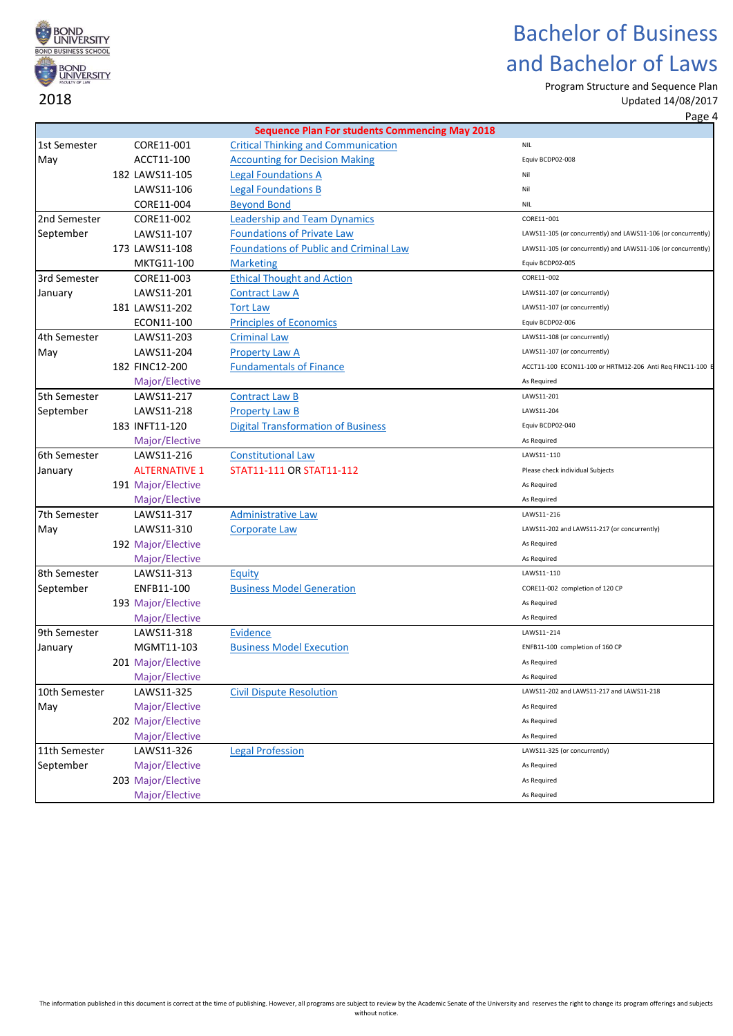

Program Structure and Sequence Plan Updated 14/08/2017

|               |                      |                                                       | <u>rage - </u>                                                |
|---------------|----------------------|-------------------------------------------------------|---------------------------------------------------------------|
|               |                      | <b>Sequence Plan For students Commencing May 2018</b> |                                                               |
| 1st Semester  | CORE11-001           | <b>Critical Thinking and Communication</b>            | <b>NIL</b>                                                    |
| May           | ACCT11-100           | <b>Accounting for Decision Making</b>                 | Equiv BCDP02-008                                              |
|               | 182 LAWS11-105       | <b>Legal Foundations A</b>                            | Nil                                                           |
|               | LAWS11-106           | <b>Legal Foundations B</b>                            | Nil                                                           |
|               | CORE11-004           | <b>Beyond Bond</b>                                    | <b>NIL</b>                                                    |
| 2nd Semester  | CORE11-002           | <b>Leadership and Team Dynamics</b>                   | CORE11-001                                                    |
| September     | LAWS11-107           | <b>Foundations of Private Law</b>                     | LAWS11-105 (or concurrently) and LAWS11-106 (or concurrently) |
|               | 173 LAWS11-108       | <b>Foundations of Public and Criminal Law</b>         | LAWS11-105 (or concurrently) and LAWS11-106 (or concurrently) |
|               | MKTG11-100           | <b>Marketing</b>                                      | Equiv BCDP02-005                                              |
| 3rd Semester  | CORE11-003           | <b>Ethical Thought and Action</b>                     | CORE11-002                                                    |
| January       | LAWS11-201           | <b>Contract Law A</b>                                 | LAWS11-107 (or concurrently)                                  |
|               | 181 LAWS11-202       | <b>Tort Law</b>                                       | LAWS11-107 (or concurrently)                                  |
|               | ECON11-100           | <b>Principles of Economics</b>                        | Equiv BCDP02-006                                              |
| 4th Semester  | LAWS11-203           | <b>Criminal Law</b>                                   | LAWS11-108 (or concurrently)                                  |
| May           | LAWS11-204           | <b>Property Law A</b>                                 | LAWS11-107 (or concurrently)                                  |
|               | 182 FINC12-200       | <b>Fundamentals of Finance</b>                        | ACCT11-100 ECON11-100 or HRTM12-206 Anti Req FINC11-100 E     |
|               | Major/Elective       |                                                       | As Required                                                   |
| 5th Semester  | LAWS11-217           | <b>Contract Law B</b>                                 | LAWS11-201                                                    |
| September     | LAWS11-218           | <b>Property Law B</b>                                 | LAWS11-204                                                    |
|               | 183 INFT11-120       | <b>Digital Transformation of Business</b>             | Equiv BCDP02-040                                              |
|               | Major/Elective       |                                                       | As Required                                                   |
| 6th Semester  | LAWS11-216           | <b>Constitutional Law</b>                             | LAWS11-110                                                    |
| January       | <b>ALTERNATIVE 1</b> | STAT11-111 OR STAT11-112                              | Please check individual Subjects                              |
|               | 191 Major/Elective   |                                                       | As Required                                                   |
|               | Major/Elective       |                                                       | As Required                                                   |
| 7th Semester  | LAWS11-317           | <b>Administrative Law</b>                             | LAWS11-216                                                    |
| May           | LAWS11-310           | <b>Corporate Law</b>                                  | LAWS11-202 and LAWS11-217 (or concurrently)                   |
|               | 192 Major/Elective   |                                                       | As Required                                                   |
|               | Major/Elective       |                                                       | As Required                                                   |
| 8th Semester  | LAWS11-313           | Equity                                                | LAWS11-110                                                    |
| September     | ENFB11-100           | <b>Business Model Generation</b>                      | CORE11-002 completion of 120 CP                               |
|               | 193 Major/Elective   |                                                       | As Required                                                   |
|               | Major/Elective       |                                                       | As Required                                                   |
| 9th Semester  | LAWS11-318           | <b>Evidence</b>                                       | LAWS11-214                                                    |
| January       | MGMT11-103           | <b>Business Model Execution</b>                       | ENFB11-100 completion of 160 CP                               |
|               | 201 Major/Elective   |                                                       | As Required                                                   |
|               | Major/Elective       |                                                       | As Required                                                   |
| 10th Semester | LAWS11-325           | <b>Civil Dispute Resolution</b>                       | LAWS11-202 and LAWS11-217 and LAWS11-218                      |
| May           | Major/Elective       |                                                       | As Required                                                   |
|               | 202 Major/Elective   |                                                       | As Required                                                   |
|               | Major/Elective       |                                                       | As Required                                                   |
| 11th Semester | LAWS11-326           | <b>Legal Profession</b>                               | LAWS11-325 (or concurrently)                                  |
| September     | Major/Elective       |                                                       | As Required                                                   |
|               | 203 Major/Elective   |                                                       | As Required                                                   |
|               | Major/Elective       |                                                       | As Required                                                   |
|               |                      |                                                       |                                                               |